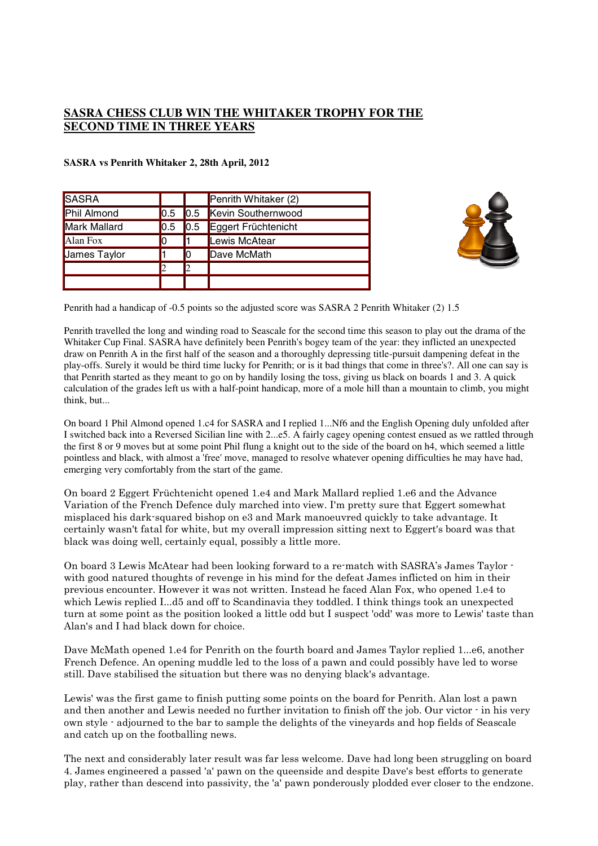## **SASRA CHESS CLUB WIN THE WHITAKER TROPHY FOR THE SECOND TIME IN THREE YEARS**

| SASRA               |                   |                   | Penrith Whitaker (2)   |
|---------------------|-------------------|-------------------|------------------------|
| Phil Almond         | $\vert 0.5 \vert$ |                   | 0.5 Kevin Southernwood |
| Mark Mallard        | IO.5              | $\vert 0.5 \vert$ | Eggert Früchtenicht    |
| Alan Fox            |                   |                   | Lewis McAtear          |
| <b>James Taylor</b> |                   |                   | Dave McMath            |
|                     |                   |                   |                        |
|                     |                   |                   |                        |

## **SASRA vs Penrith Whitaker 2, 28th April, 2012**



Penrith had a handicap of -0.5 points so the adjusted score was SASRA 2 Penrith Whitaker (2) 1.5

Penrith travelled the long and winding road to Seascale for the second time this season to play out the drama of the Whitaker Cup Final. SASRA have definitely been Penrith's bogey team of the year: they inflicted an unexpected draw on Penrith A in the first half of the season and a thoroughly depressing title-pursuit dampening defeat in the play-offs. Surely it would be third time lucky for Penrith; or is it bad things that come in three's?. All one can say is that Penrith started as they meant to go on by handily losing the toss, giving us black on boards 1 and 3. A quick calculation of the grades left us with a half-point handicap, more of a mole hill than a mountain to climb, you might think, but...

On board 1 Phil Almond opened 1.c4 for SASRA and I replied 1...Nf6 and the English Opening duly unfolded after I switched back into a Reversed Sicilian line with 2...e5. A fairly cagey opening contest ensued as we rattled through the first 8 or 9 moves but at some point Phil flung a knight out to the side of the board on h4, which seemed a little pointless and black, with almost a 'free' move, managed to resolve whatever opening difficulties he may have had, emerging very comfortably from the start of the game.

On board 2 Eggert Früchtenicht opened 1.e4 and Mark Mallard replied 1.e6 and the Advance Variation of the French Defence duly marched into view. I'm pretty sure that Eggert somewhat misplaced his dark-squared bishop on e3 and Mark manoeuvred quickly to take advantage. It certainly wasn't fatal for white, but my overall impression sitting next to Eggert's board was that black was doing well, certainly equal, possibly a little more.

On board 3 Lewis McAtear had been looking forward to a re-match with SASRA's James Taylor with good natured thoughts of revenge in his mind for the defeat James inflicted on him in their previous encounter. However it was not written. Instead he faced Alan Fox, who opened 1.e4 to which Lewis replied  $I...$ d5 and off to Scandinavia they toddled. I think things took an unexpected turn at some point as the position looked a little odd but I suspect 'odd' was more to Lewis' taste than Alan's and I had black down for choice.

Dave McMath opened 1.e4 for Penrith on the fourth board and James Taylor replied 1…e6, another French Defence. An opening muddle led to the loss of a pawn and could possibly have led to worse still. Dave stabilised the situation but there was no denying black's advantage.

Lewis' was the first game to finish putting some points on the board for Penrith. Alan lost a pawn and then another and Lewis needed no further invitation to finish off the job. Our victor  $\cdot$  in his very own style - adjourned to the bar to sample the delights of the vineyards and hop fields of Seascale and catch up on the footballing news.

The next and considerably later result was far less welcome. Dave had long been struggling on board 4. James engineered a passed 'a' pawn on the queenside and despite Dave's best efforts to generate play, rather than descend into passivity, the 'a' pawn ponderously plodded ever closer to the endzone.